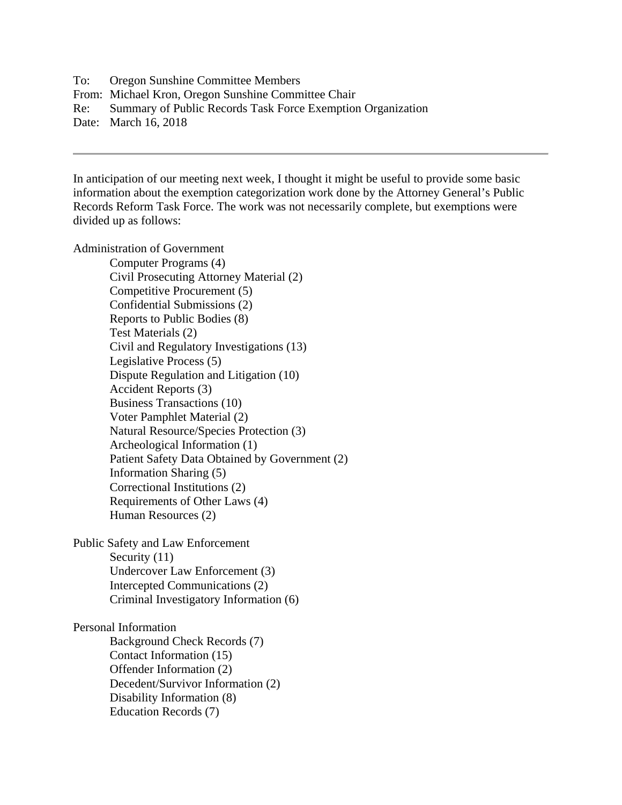To: Oregon Sunshine Committee Members From: Michael Kron, Oregon Sunshine Committee Chair Re: Summary of Public Records Task Force Exemption Organization Date: March 16, 2018

In anticipation of our meeting next week, I thought it might be useful to provide some basic information about the exemption categorization work done by the Attorney General's Public Records Reform Task Force. The work was not necessarily complete, but exemptions were divided up as follows:

Administration of Government

 Computer Programs (4) Civil Prosecuting Attorney Material (2) Competitive Procurement (5) Confidential Submissions (2) Reports to Public Bodies (8) Test Materials (2) Civil and Regulatory Investigations (13) Legislative Process (5) Dispute Regulation and Litigation (10) Accident Reports (3) Business Transactions (10) Voter Pamphlet Material (2) Natural Resource/Species Protection (3) Archeological Information (1) Patient Safety Data Obtained by Government (2) Information Sharing (5) Correctional Institutions (2) Requirements of Other Laws (4) Human Resources (2) Public Safety and Law Enforcement

Security  $(11)$  Undercover Law Enforcement (3) Intercepted Communications (2) Criminal Investigatory Information (6)

Personal Information Background Check Records (7) Contact Information (15) Offender Information (2) Decedent/Survivor Information (2) Disability Information (8) Education Records (7)